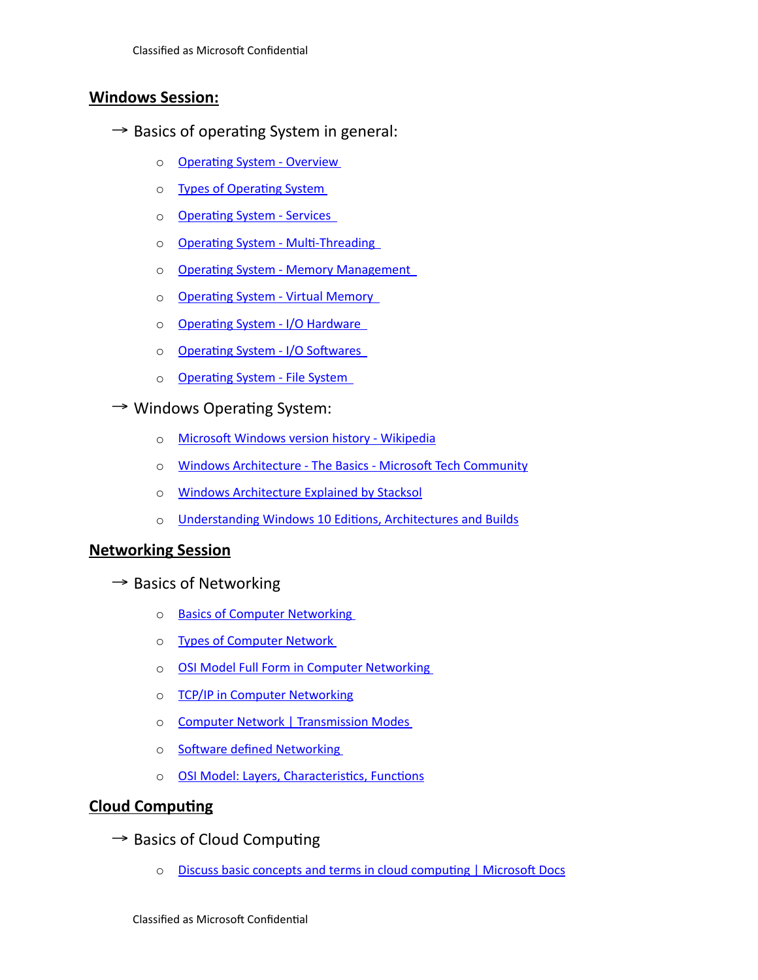# **Windows Session:**

- $\rightarrow$  Basics of operating System in general:
	- o **Operating System Overview**
	- o Types of Operating System
	- o [Operating System Services](https://www.tutorialspoint.com/operating_system/os_services.htm)
	- o [Operating System Multi-Threading](https://www.tutorialspoint.com/operating_system/os_multi_threading.htm)
	- o [Operating System Memory Management](https://www.tutorialspoint.com/operating_system/os_memory_management.htm)
	- o [Operating System Virtual Memory](https://www.tutorialspoint.com/operating_system/os_virtual_memory.htm)
	- o Operating System I/O Hardware
	- o Operating System I/O Softwares
	- o [Operating System File System](https://www.tutorialspoint.com/operating_system/os_file_system.htm)
- $\rightarrow$  Windows Operating System:
	- o [Microsoft Windows version history Wikipedia](https://en.wikipedia.org/wiki/Microsoft_Windows_version_history)
	- o [Windows Architecture The Basics Microsoft Tech Community](https://techcommunity.microsoft.com/t5/ask-the-performance-team/windows-architecture-the-basics/ba-p/372345)
	- o [Windows Architecture Explained by Stacksol](https://www.slideshare.net/Stacksol/windows-architecture-explained-by-stacksol)
	- o [Understanding Windows 10 Editions, Architectures and Builds](https://www.groovypost.com/howto/windows-10-edition-architecture-build-your-install/#:~:text=Windows%252010%2520is%2520available%2520in%2520both%252032%2520and,the%2520amount%2520of%2520memory%2520that%2520can%2520be%2520installed.)

# **Networking Session**

- $\rightarrow$  Basics of Networking
	- o [Basics of Computer Networking](https://www.geeksforgeeks.org/basics-computer-networking/)
	- o [Types of Computer Network](https://www.javatpoint.com/types-of-computer-network)
	- o [OSI Model Full Form in Computer Networking](https://www.geeksforgeeks.org/osi-model-full-form-in-computer-networking/?ref=rp)
	- o [TCP/IP in Computer Networking](https://www.geeksforgeeks.org/tcp-ip-in-computer-networking/?ref=rp)
	- o [Computer Network | Transmission Modes](https://www.javatpoint.com/computer-network-transmission-modes)
	- o Software defined Networking
	- o **[OSI Model: Layers, Characteristics, Functions](https://www.javatpoint.com/osi-model)**

## **Cloud Computing**

- $\rightarrow$  Basics of Cloud Computing
	- o [Discuss basic concepts and terms in cloud computing | Microsoft Docs](https://docs.microsoft.com/en-us/learn/modules/fundamental-azure-concepts/)